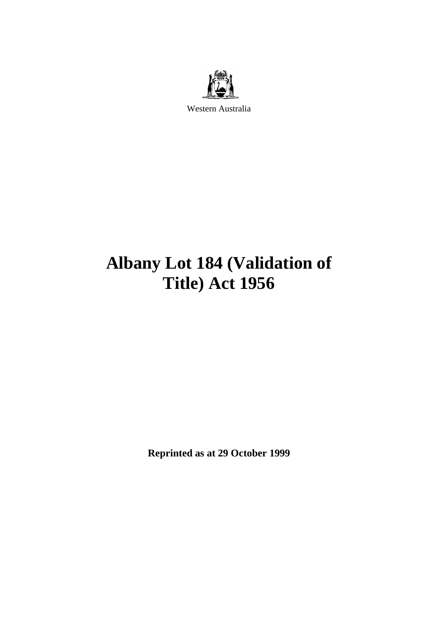

Western Australia

# **Albany Lot 184 (Validation of Title) Act 1956**

**Reprinted as at 29 October 1999**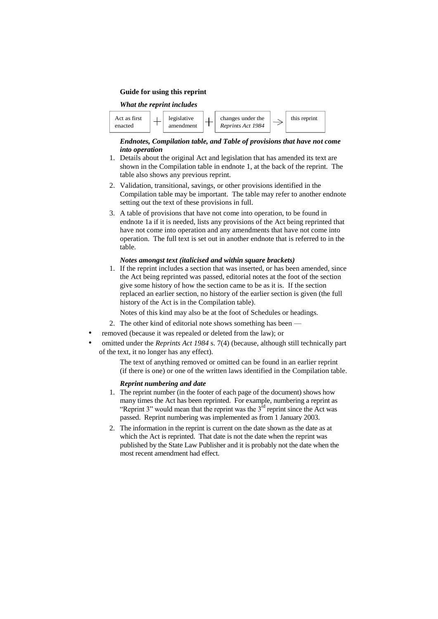#### **Guide for using this reprint**

#### *What the reprint includes*



#### *Endnotes, Compilation table, and Table of provisions that have not come into operation*

- 1. Details about the original Act and legislation that has amended its text are shown in the Compilation table in endnote 1, at the back of the reprint. The table also shows any previous reprint.
- 2. Validation, transitional, savings, or other provisions identified in the Compilation table may be important. The table may refer to another endnote setting out the text of these provisions in full.
- 3. A table of provisions that have not come into operation, to be found in endnote 1a if it is needed, lists any provisions of the Act being reprinted that have not come into operation and any amendments that have not come into operation. The full text is set out in another endnote that is referred to in the table.

#### *Notes amongst text (italicised and within square brackets)*

1. If the reprint includes a section that was inserted, or has been amended, since the Act being reprinted was passed, editorial notes at the foot of the section give some history of how the section came to be as it is. If the section replaced an earlier section, no history of the earlier section is given (the full history of the Act is in the Compilation table).

Notes of this kind may also be at the foot of Schedules or headings.

- 2. The other kind of editorial note shows something has been —
- removed (because it was repealed or deleted from the law); or
- omitted under the *Reprints Act 1984* s. 7(4) (because, although still technically part of the text, it no longer has any effect).

The text of anything removed or omitted can be found in an earlier reprint (if there is one) or one of the written laws identified in the Compilation table.

#### *Reprint numbering and date*

- 1. The reprint number (in the footer of each page of the document) shows how many times the Act has been reprinted. For example, numbering a reprint as "Reprint 3" would mean that the reprint was the  $3<sup>rd</sup>$  reprint since the Act was passed. Reprint numbering was implemented as from 1 January 2003.
- 2. The information in the reprint is current on the date shown as the date as at which the Act is reprinted. That date is not the date when the reprint was published by the State Law Publisher and it is probably not the date when the most recent amendment had effect.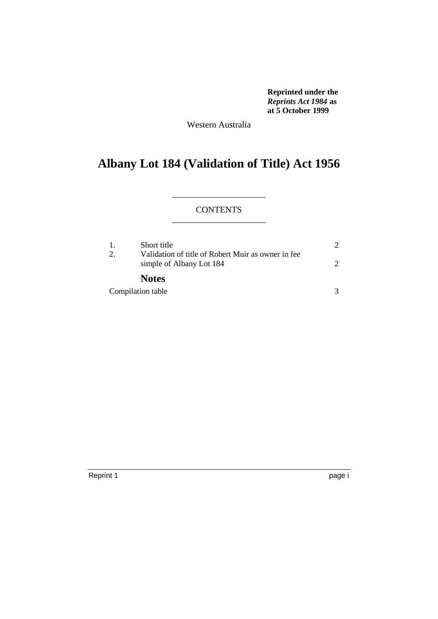**Reprinted under the**  *Reprints Act 1984* **as at 5 October 1999**

Western Australia

# **Albany Lot 184 (Validation of Title) Act 1956**

# **CONTENTS**

| -1. | Short title                                                                    |               |
|-----|--------------------------------------------------------------------------------|---------------|
| 2.  | Validation of title of Robert Muir as owner in fee<br>simple of Albany Lot 184 | $\mathcal{D}$ |
|     | <b>Notes</b>                                                                   |               |
|     | Compilation table                                                              |               |

Reprint 1 page i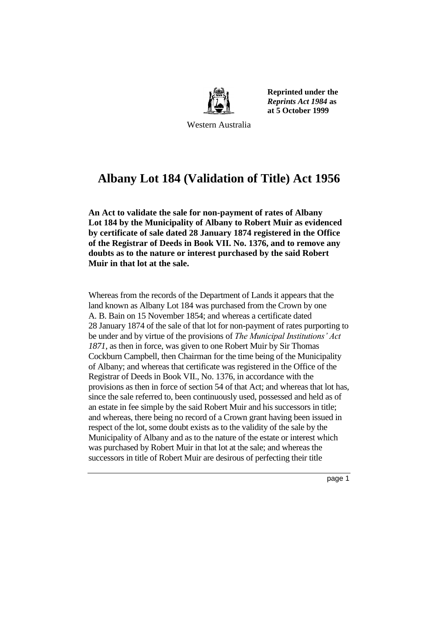

**Reprinted under the**  *Reprints Act 1984* **as at 5 October 1999**

Western Australia

# **Albany Lot 184 (Validation of Title) Act 1956**

**An Act to validate the sale for non-payment of rates of Albany Lot 184 by the Municipality of Albany to Robert Muir as evidenced by certificate of sale dated 28 January 1874 registered in the Office of the Registrar of Deeds in Book VII. No. 1376, and to remove any doubts as to the nature or interest purchased by the said Robert Muir in that lot at the sale.** 

Whereas from the records of the Department of Lands it appears that the land known as Albany Lot 184 was purchased from the Crown by one A. B. Bain on 15 November 1854; and whereas a certificate dated 28 January 1874 of the sale of that lot for non-payment of rates purporting to be under and by virtue of the provisions of *The Municipal Institutions' Act 1871*, as then in force, was given to one Robert Muir by Sir Thomas Cockburn Campbell, then Chairman for the time being of the Municipality of Albany; and whereas that certificate was registered in the Office of the Registrar of Deeds in Book VII., No. 1376, in accordance with the provisions as then in force of section 54 of that Act; and whereas that lot has, since the sale referred to, been continuously used, possessed and held as of an estate in fee simple by the said Robert Muir and his successors in title; and whereas, there being no record of a Crown grant having been issued in respect of the lot, some doubt exists as to the validity of the sale by the Municipality of Albany and as to the nature of the estate or interest which was purchased by Robert Muir in that lot at the sale; and whereas the successors in title of Robert Muir are desirous of perfecting their title

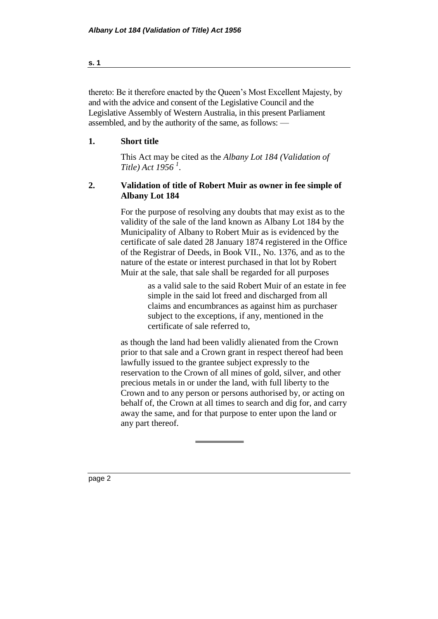thereto: Be it therefore enacted by the Queen's Most Excellent Majesty, by and with the advice and consent of the Legislative Council and the Legislative Assembly of Western Australia, in this present Parliament assembled, and by the authority of the same, as follows: —

# **1. Short title**

This Act may be cited as the *Albany Lot 184 (Validation of Title) Act 1956 <sup>1</sup>* .

# **2. Validation of title of Robert Muir as owner in fee simple of Albany Lot 184**

For the purpose of resolving any doubts that may exist as to the validity of the sale of the land known as Albany Lot 184 by the Municipality of Albany to Robert Muir as is evidenced by the certificate of sale dated 28 January 1874 registered in the Office of the Registrar of Deeds, in Book VII., No. 1376, and as to the nature of the estate or interest purchased in that lot by Robert Muir at the sale, that sale shall be regarded for all purposes

> as a valid sale to the said Robert Muir of an estate in fee simple in the said lot freed and discharged from all claims and encumbrances as against him as purchaser subject to the exceptions, if any, mentioned in the certificate of sale referred to,

as though the land had been validly alienated from the Crown prior to that sale and a Crown grant in respect thereof had been lawfully issued to the grantee subject expressly to the reservation to the Crown of all mines of gold, silver, and other precious metals in or under the land, with full liberty to the Crown and to any person or persons authorised by, or acting on behalf of, the Crown at all times to search and dig for, and carry away the same, and for that purpose to enter upon the land or any part thereof.

page 2

**s. 1**